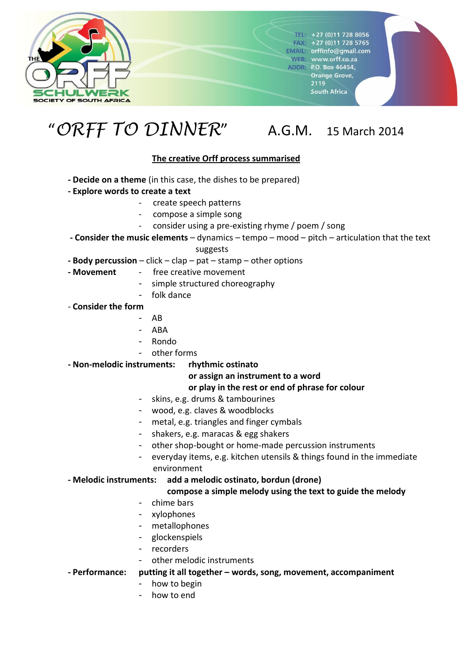

 $T = 27(0)117288056$  $FAN: +27(0)117285765$ **EMAIL:** orffinfo@gmail.com WEB: www.orff.co.za **ADDR: P.O. Box 46454,** Orange Grove, 2119 South Africa

# "*ORFF TO DINNER*" A.G.M. 15 March 2014

### **The creative Orff process summarised**

- **- Decide on a theme** (in this case, the dishes to be prepared)
- **- Explore words to create a text**
	- create speech patterns
		- compose a simple song
	- consider using a pre-existing rhyme / poem / song
- **- Consider the music elements** dynamics tempo mood pitch articulation that the text

suggests

- **- Body percussion** click clap pat stamp other options
- **- Movement** free creative movement
	- simple structured choreography
	- folk dance
- **Consider the form**
	- AB
	- ABA
	- Rondo
	- other forms

**- Non-melodic instruments: rhythmic ostinato**

#### **or assign an instrument to a word**

#### **or play in the rest or end of phrase for colour**

- skins, e.g. drums & tambourines
- wood, e.g. claves & woodblocks
- metal, e.g. triangles and finger cymbals
- shakers, e.g. maracas & egg shakers
- other shop-bought or home-made percussion instruments
- everyday items, e.g. kitchen utensils & things found in the immediate environment

#### **- Melodic instruments: add a melodic ostinato, bordun (drone)**

#### **compose a simple melody using the text to guide the melody**

- chime bars
- xylophones
- metallophones
- glockenspiels
- recorders
- other melodic instruments

**- Performance: putting it all together – words, song, movement, accompaniment**

- how to begin
- how to end